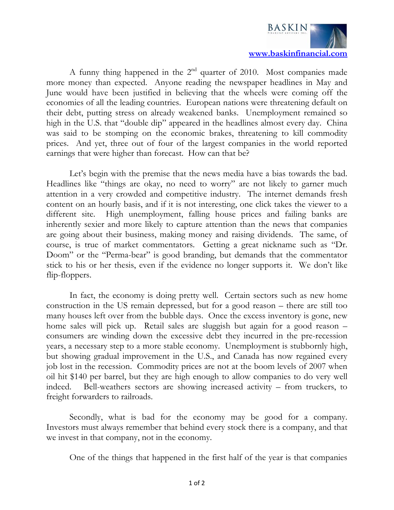

A funny thing happened in the  $2<sup>nd</sup>$  quarter of 2010. Most companies made more money than expected. Anyone reading the newspaper headlines in May and June would have been justified in believing that the wheels were coming off the economies of all the leading countries. European nations were threatening default on their debt, putting stress on already weakened banks. Unemployment remained so high in the U.S. that "double dip" appeared in the headlines almost every day. China was said to be stomping on the economic brakes, threatening to kill commodity prices. And yet, three out of four of the largest companies in the world reported earnings that were higher than forecast. How can that be?

Let's begin with the premise that the news media have a bias towards the bad. Headlines like "things are okay, no need to worry" are not likely to garner much attention in a very crowded and competitive industry. The internet demands fresh content on an hourly basis, and if it is not interesting, one click takes the viewer to a different site. High unemployment, falling house prices and failing banks are inherently sexier and more likely to capture attention than the news that companies are going about their business, making money and raising dividends. The same, of course, is true of market commentators. Getting a great nickname such as "Dr. Doom" or the "Perma-bear" is good branding, but demands that the commentator stick to his or her thesis, even if the evidence no longer supports it. We don't like flip-floppers.

In fact, the economy is doing pretty well. Certain sectors such as new home construction in the US remain depressed, but for a good reason – there are still too many houses left over from the bubble days. Once the excess inventory is gone, new home sales will pick up. Retail sales are sluggish but again for a good reason – consumers are winding down the excessive debt they incurred in the pre-recession years, a necessary step to a more stable economy. Unemployment is stubbornly high, but showing gradual improvement in the U.S., and Canada has now regained every job lost in the recession. Commodity prices are not at the boom levels of 2007 when oil hit \$140 per barrel, but they are high enough to allow companies to do very well indeed. Bell-weathers sectors are showing increased activity – from truckers, to freight forwarders to railroads.

Secondly, what is bad for the economy may be good for a company. Investors must always remember that behind every stock there is a company, and that we invest in that company, not in the economy.

One of the things that happened in the first half of the year is that companies